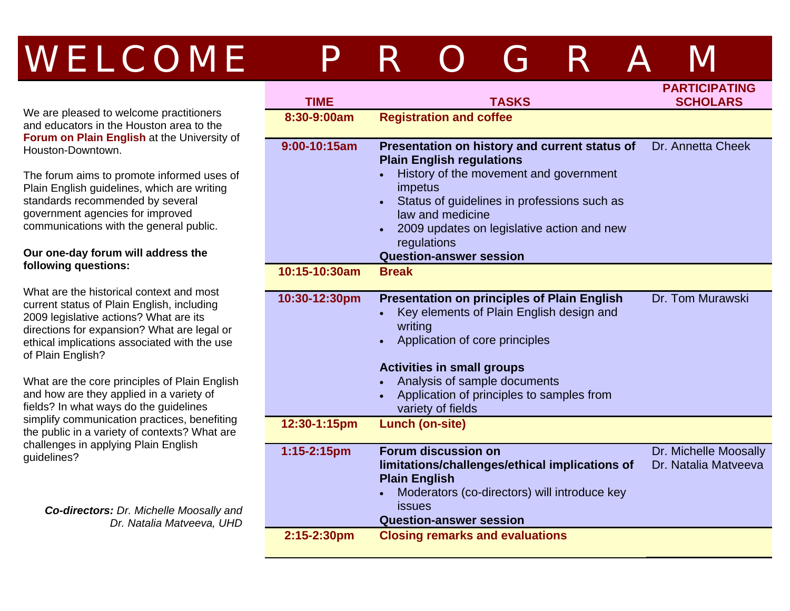# WELCOME PROGRA

We are pleased to welcome practitioners and educators in the Houston area to the **Forum on Plain English** at the University of Houston-Downtown.

The forum aims to promote informed uses of Plain English guidelines, which are writing standards recommended by several government agencies for improved communications with the general public.

#### **Our one-day forum will address the following questions:**

What are the historical context and most current status of Plain English, including 2009 legislative actions? What are its directions for expansion? What are legal or ethical implications associated with the use of Plain English?

What are the core principles of Plain English and how are they applied in a variety of fields? In what ways do the guidelines simplify communication practices, benefiting the public in a variety of contexts? What are challenges in applying Plain English guidelines?

*Co-directors: Dr. Michelle Moosally and Dr. Natalia Matveeva, UHD* 

| <b>TIME</b>   | <b>TASKS</b>                                                                                                                                                                                                                                                                                             | <b>PARTICIPATING</b><br><b>SCHOLARS</b>       |
|---------------|----------------------------------------------------------------------------------------------------------------------------------------------------------------------------------------------------------------------------------------------------------------------------------------------------------|-----------------------------------------------|
| 8:30-9:00am   | <b>Registration and coffee</b>                                                                                                                                                                                                                                                                           |                                               |
| 9:00-10:15am  | Presentation on history and current status of<br><b>Plain English regulations</b><br>History of the movement and government<br>impetus<br>Status of guidelines in professions such as<br>law and medicine<br>2009 updates on legislative action and new<br>regulations<br><b>Question-answer session</b> | Dr. Annetta Cheek                             |
| 10:15-10:30am | <b>Break</b>                                                                                                                                                                                                                                                                                             |                                               |
| 10:30-12:30pm | <b>Presentation on principles of Plain English</b><br>Key elements of Plain English design and<br>writing<br>Application of core principles<br><b>Activities in small groups</b><br>Analysis of sample documents<br>Application of principles to samples from<br>variety of fields                       | Dr. Tom Murawski                              |
| 12:30-1:15pm  | <b>Lunch (on-site)</b>                                                                                                                                                                                                                                                                                   |                                               |
| 1:15-2:15pm   | <b>Forum discussion on</b><br>limitations/challenges/ethical implications of<br><b>Plain English</b><br>Moderators (co-directors) will introduce key<br><b>issues</b><br><b>Question-answer session</b>                                                                                                  | Dr. Michelle Moosally<br>Dr. Natalia Matveeva |
| 2:15-2:30pm   | <b>Closing remarks and evaluations</b>                                                                                                                                                                                                                                                                   |                                               |